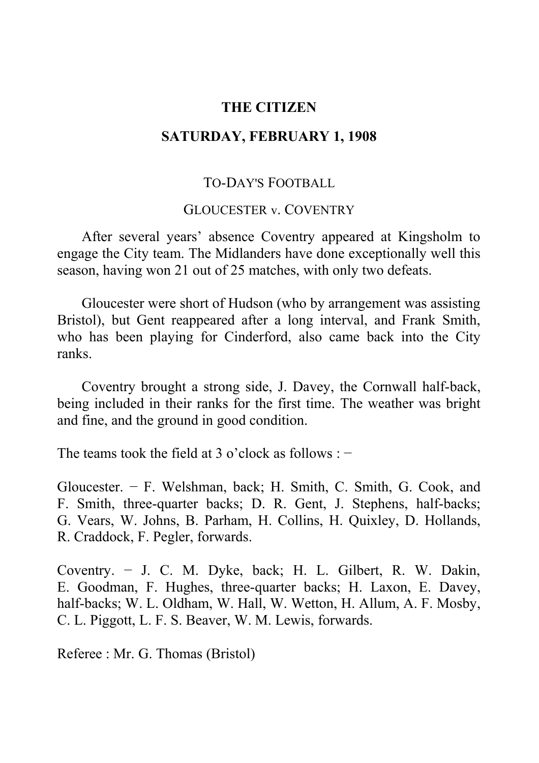# **THE CITIZEN**

# **SATURDAY, FEBRUARY 1, 1908**

## TO-DAY'S FOOTBALL

#### GLOUCESTER v. COVENTRY

After several years' absence Coventry appeared at Kingsholm to engage the City team. The Midlanders have done exceptionally well this season, having won 21 out of 25 matches, with only two defeats.

Gloucester were short of Hudson (who by arrangement was assisting Bristol), but Gent reappeared after a long interval, and Frank Smith, who has been playing for Cinderford, also came back into the City ranks.

Coventry brought a strong side, J. Davey, the Cornwall half-back, being included in their ranks for the first time. The weather was bright and fine, and the ground in good condition.

The teams took the field at 3 o'clock as follows :  $-$ 

Gloucester. − F. Welshman, back; H. Smith, C. Smith, G. Cook, and F. Smith, three-quarter backs; D. R. Gent, J. Stephens, half-backs; G. Vears, W. Johns, B. Parham, H. Collins, H. Quixley, D. Hollands, R. Craddock, F. Pegler, forwards.

Coventry. − J. C. M. Dyke, back; H. L. Gilbert, R. W. Dakin, E. Goodman, F. Hughes, three-quarter backs; H. Laxon, E. Davey, half-backs; W. L. Oldham, W. Hall, W. Wetton, H. Allum, A. F. Mosby, C. L. Piggott, L. F. S. Beaver, W. M. Lewis, forwards.

Referee : Mr. G. Thomas (Bristol)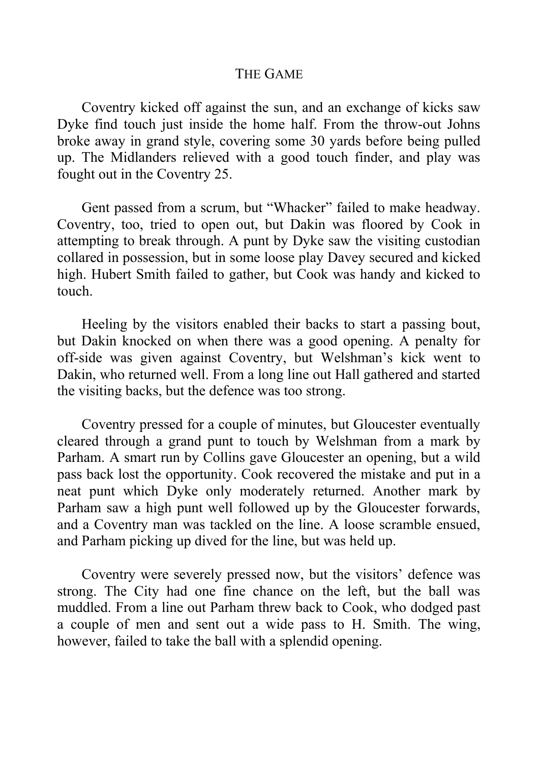### THE GAME

Coventry kicked off against the sun, and an exchange of kicks saw Dyke find touch just inside the home half. From the throw-out Johns broke away in grand style, covering some 30 yards before being pulled up. The Midlanders relieved with a good touch finder, and play was fought out in the Coventry 25.

Gent passed from a scrum, but "Whacker" failed to make headway. Coventry, too, tried to open out, but Dakin was floored by Cook in attempting to break through. A punt by Dyke saw the visiting custodian collared in possession, but in some loose play Davey secured and kicked high. Hubert Smith failed to gather, but Cook was handy and kicked to touch.

Heeling by the visitors enabled their backs to start a passing bout, but Dakin knocked on when there was a good opening. A penalty for off-side was given against Coventry, but Welshman's kick went to Dakin, who returned well. From a long line out Hall gathered and started the visiting backs, but the defence was too strong.

Coventry pressed for a couple of minutes, but Gloucester eventually cleared through a grand punt to touch by Welshman from a mark by Parham. A smart run by Collins gave Gloucester an opening, but a wild pass back lost the opportunity. Cook recovered the mistake and put in a neat punt which Dyke only moderately returned. Another mark by Parham saw a high punt well followed up by the Gloucester forwards, and a Coventry man was tackled on the line. A loose scramble ensued, and Parham picking up dived for the line, but was held up.

Coventry were severely pressed now, but the visitors' defence was strong. The City had one fine chance on the left, but the ball was muddled. From a line out Parham threw back to Cook, who dodged past a couple of men and sent out a wide pass to H. Smith. The wing, however, failed to take the ball with a splendid opening.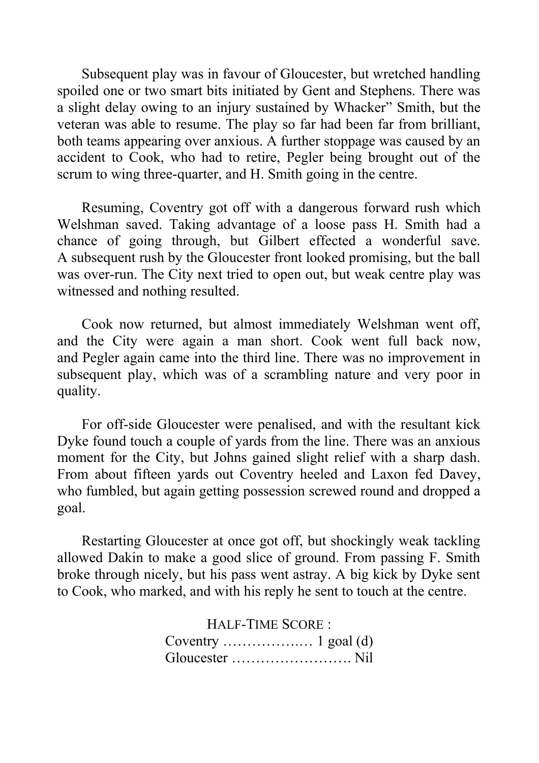Subsequent play was in favour of Gloucester, but wretched handling spoiled one or two smart bits initiated by Gent and Stephens. There was a slight delay owing to an injury sustained by Whacker" Smith, but the veteran was able to resume. The play so far had been far from brilliant, both teams appearing over anxious. A further stoppage was caused by an accident to Cook, who had to retire, Pegler being brought out of the scrum to wing three-quarter, and H. Smith going in the centre.

Resuming, Coventry got off with a dangerous forward rush which Welshman saved. Taking advantage of a loose pass H. Smith had a chance of going through, but Gilbert effected a wonderful save. A subsequent rush by the Gloucester front looked promising, but the ball was over-run. The City next tried to open out, but weak centre play was witnessed and nothing resulted.

Cook now returned, but almost immediately Welshman went off, and the City were again a man short. Cook went full back now, and Pegler again came into the third line. There was no improvement in subsequent play, which was of a scrambling nature and very poor in quality.

For off-side Gloucester were penalised, and with the resultant kick Dyke found touch a couple of yards from the line. There was an anxious moment for the City, but Johns gained slight relief with a sharp dash. From about fifteen yards out Coventry heeled and Laxon fed Davey, who fumbled, but again getting possession screwed round and dropped a goal.

Restarting Gloucester at once got off, but shockingly weak tackling allowed Dakin to make a good slice of ground. From passing F. Smith broke through nicely, but his pass went astray. A big kick by Dyke sent to Cook, who marked, and with his reply he sent to touch at the centre.

> HALF-TIME SCORE : Coventry  $\dots$   $\dots$   $\dots$   $1$  goal (d) Gloucester ……………………. Nil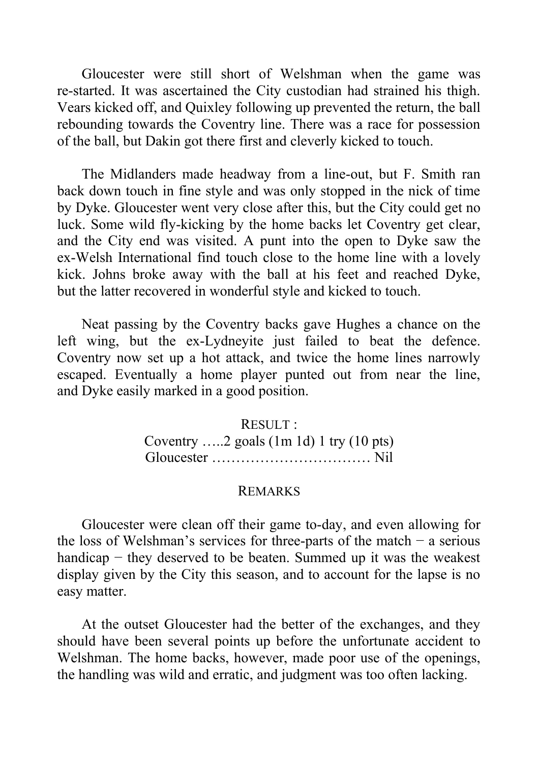Gloucester were still short of Welshman when the game was re-started. It was ascertained the City custodian had strained his thigh. Vears kicked off, and Quixley following up prevented the return, the ball rebounding towards the Coventry line. There was a race for possession of the ball, but Dakin got there first and cleverly kicked to touch.

The Midlanders made headway from a line-out, but F. Smith ran back down touch in fine style and was only stopped in the nick of time by Dyke. Gloucester went very close after this, but the City could get no luck. Some wild fly-kicking by the home backs let Coventry get clear, and the City end was visited. A punt into the open to Dyke saw the ex-Welsh International find touch close to the home line with a lovely kick. Johns broke away with the ball at his feet and reached Dyke, but the latter recovered in wonderful style and kicked to touch.

Neat passing by the Coventry backs gave Hughes a chance on the left wing, but the ex-Lydneyite just failed to beat the defence. Coventry now set up a hot attack, and twice the home lines narrowly escaped. Eventually a home player punted out from near the line, and Dyke easily marked in a good position.

> RESULT : Coventry …..2 goals (1m 1d) 1 try (10 pts) Gloucester …………………………… Nil

### REMARKS

Gloucester were clean off their game to-day, and even allowing for the loss of Welshman's services for three-parts of the match  $-$  a serious handicap − they deserved to be beaten. Summed up it was the weakest display given by the City this season, and to account for the lapse is no easy matter.

At the outset Gloucester had the better of the exchanges, and they should have been several points up before the unfortunate accident to Welshman. The home backs, however, made poor use of the openings, the handling was wild and erratic, and judgment was too often lacking.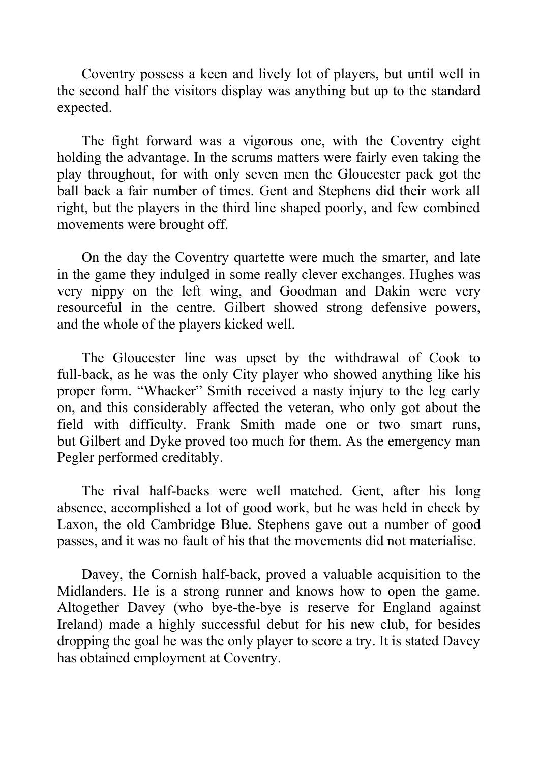Coventry possess a keen and lively lot of players, but until well in the second half the visitors display was anything but up to the standard expected.

The fight forward was a vigorous one, with the Coventry eight holding the advantage. In the scrums matters were fairly even taking the play throughout, for with only seven men the Gloucester pack got the ball back a fair number of times. Gent and Stephens did their work all right, but the players in the third line shaped poorly, and few combined movements were brought off.

On the day the Coventry quartette were much the smarter, and late in the game they indulged in some really clever exchanges. Hughes was very nippy on the left wing, and Goodman and Dakin were very resourceful in the centre. Gilbert showed strong defensive powers, and the whole of the players kicked well.

The Gloucester line was upset by the withdrawal of Cook to full-back, as he was the only City player who showed anything like his proper form. "Whacker" Smith received a nasty injury to the leg early on, and this considerably affected the veteran, who only got about the field with difficulty. Frank Smith made one or two smart runs, but Gilbert and Dyke proved too much for them. As the emergency man Pegler performed creditably.

The rival half-backs were well matched. Gent, after his long absence, accomplished a lot of good work, but he was held in check by Laxon, the old Cambridge Blue. Stephens gave out a number of good passes, and it was no fault of his that the movements did not materialise.

Davey, the Cornish half-back, proved a valuable acquisition to the Midlanders. He is a strong runner and knows how to open the game. Altogether Davey (who bye-the-bye is reserve for England against Ireland) made a highly successful debut for his new club, for besides dropping the goal he was the only player to score a try. It is stated Davey has obtained employment at Coventry.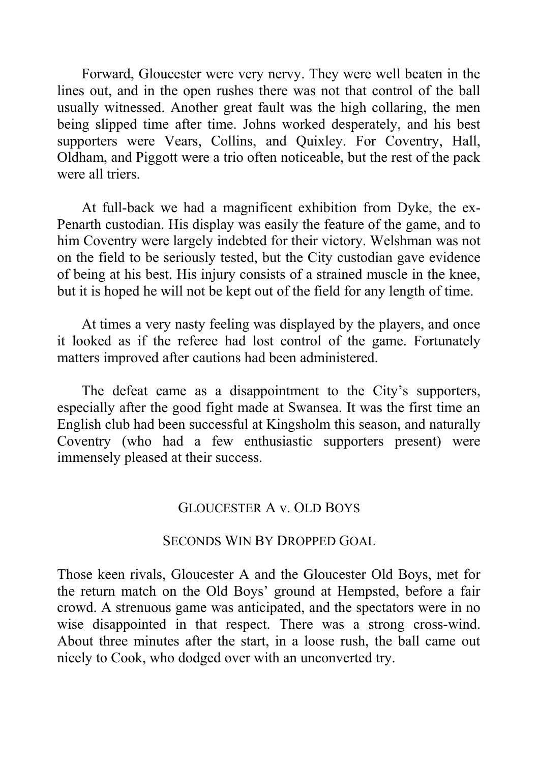Forward, Gloucester were very nervy. They were well beaten in the lines out, and in the open rushes there was not that control of the ball usually witnessed. Another great fault was the high collaring, the men being slipped time after time. Johns worked desperately, and his best supporters were Vears, Collins, and Quixley. For Coventry, Hall, Oldham, and Piggott were a trio often noticeable, but the rest of the pack were all triers.

At full-back we had a magnificent exhibition from Dyke, the ex-Penarth custodian. His display was easily the feature of the game, and to him Coventry were largely indebted for their victory. Welshman was not on the field to be seriously tested, but the City custodian gave evidence of being at his best. His injury consists of a strained muscle in the knee, but it is hoped he will not be kept out of the field for any length of time.

At times a very nasty feeling was displayed by the players, and once it looked as if the referee had lost control of the game. Fortunately matters improved after cautions had been administered.

The defeat came as a disappointment to the City's supporters, especially after the good fight made at Swansea. It was the first time an English club had been successful at Kingsholm this season, and naturally Coventry (who had a few enthusiastic supporters present) were immensely pleased at their success.

## GLOUCESTER A v. OLD BOYS

## SECONDS WIN BY DROPPED GOAL

Those keen rivals, Gloucester A and the Gloucester Old Boys, met for the return match on the Old Boys' ground at Hempsted, before a fair crowd. A strenuous game was anticipated, and the spectators were in no wise disappointed in that respect. There was a strong cross-wind. About three minutes after the start, in a loose rush, the ball came out nicely to Cook, who dodged over with an unconverted try.